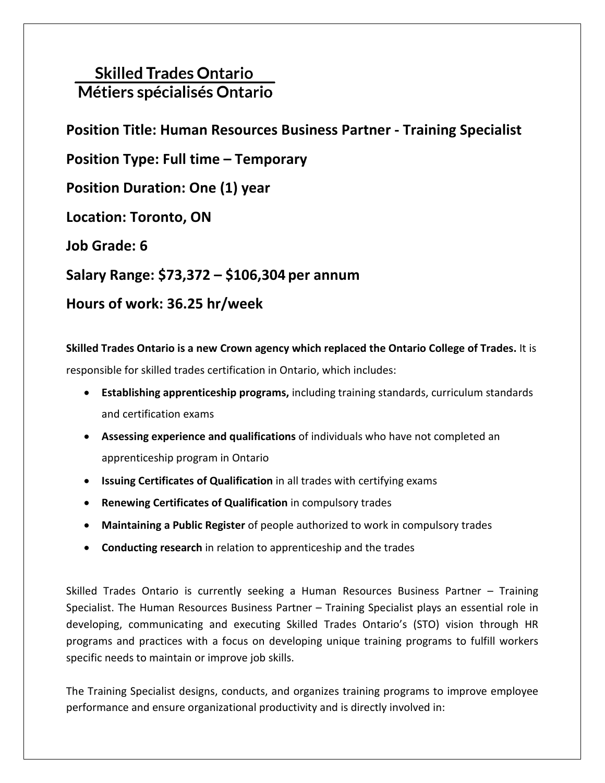# **Skilled Trades Ontario** Métiers spécialisés Ontario

# **Position Title: Human Resources Business Partner - Training Specialist**

**Position Type: Full time – Temporary**

**Position Duration: One (1) year**

**Location: Toronto, ON**

**Job Grade: 6**

**Salary Range: \$73,372 – \$106,304 per annum**

# **Hours of work: 36.25 hr/week**

**Skilled Trades Ontario is a new Crown agency which replaced the Ontario College of Trades.** It is responsible for skilled trades certification in Ontario, which includes: 

- **Establishing apprenticeship programs,**including training standards, curriculum standards and certification exams
- **Assessing experience and qualifications** of individuals who have not completed an apprenticeship program in Ontario
- **Issuing Certificates of Qualification** in all trades with certifying exams
- **Renewing Certificates of Qualification** in compulsory trades
- **Maintaining a Public Register** of people authorized to work in compulsory trades
- **Conducting research** in relation to apprenticeship and the trades

Skilled Trades Ontario is currently seeking a Human Resources Business Partner – Training Specialist. The Human Resources Business Partner – Training Specialist plays an essential role in developing, communicating and executing Skilled Trades Ontario's (STO) vision through HR programs and practices with a focus on developing unique training programs to fulfill workers specific needs to maintain or improve job skills.

The Training Specialist designs, conducts, and organizes training programs to improve employee performance and ensure organizational productivity and is directly involved in: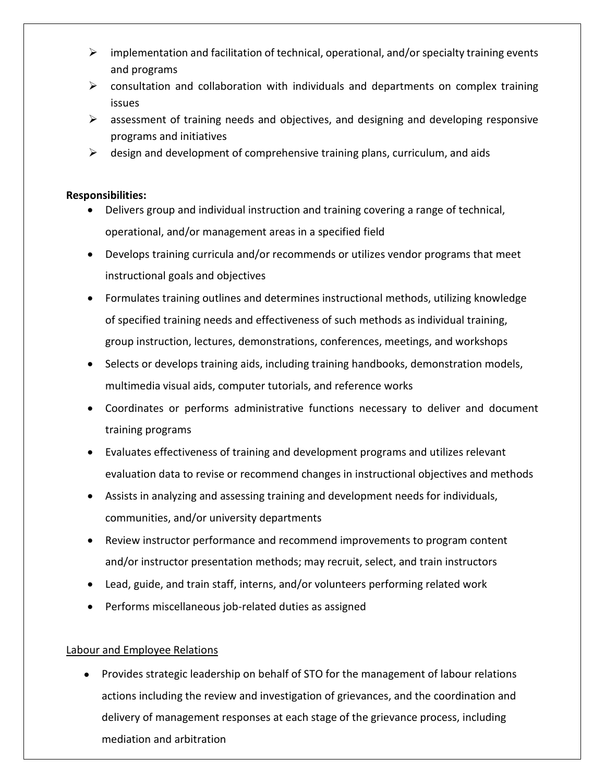- $\triangleright$  implementation and facilitation of technical, operational, and/or specialty training events and programs
- $\triangleright$  consultation and collaboration with individuals and departments on complex training issues
- $\triangleright$  assessment of training needs and objectives, and designing and developing responsive programs and initiatives
- $\triangleright$  design and development of comprehensive training plans, curriculum, and aids

### **Responsibilities:**

- Delivers group and individual instruction and training covering a range of technical, operational, and/or management areas in a specified field
- Develops training curricula and/or recommends or utilizes vendor programs that meet instructional goals and objectives
- Formulates training outlines and determines instructional methods, utilizing knowledge of specified training needs and effectiveness of such methods as individual training, group instruction, lectures, demonstrations, conferences, meetings, and workshops
- Selects or develops training aids, including training handbooks, demonstration models, multimedia visual aids, computer tutorials, and reference works
- Coordinates or performs administrative functions necessary to deliver and document training programs
- Evaluates effectiveness of training and development programs and utilizes relevant evaluation data to revise or recommend changes in instructional objectives and methods
- Assists in analyzing and assessing training and development needs for individuals, communities, and/or university departments
- Review instructor performance and recommend improvements to program content and/or instructor presentation methods; may recruit, select, and train instructors
- Lead, guide, and train staff, interns, and/or volunteers performing related work
- Performs miscellaneous job-related duties as assigned

## Labour and Employee Relations

• Provides strategic leadership on behalf of STO for the management of labour relations actions including the review and investigation of grievances, and the coordination and delivery of management responses at each stage of the grievance process, including mediation and arbitration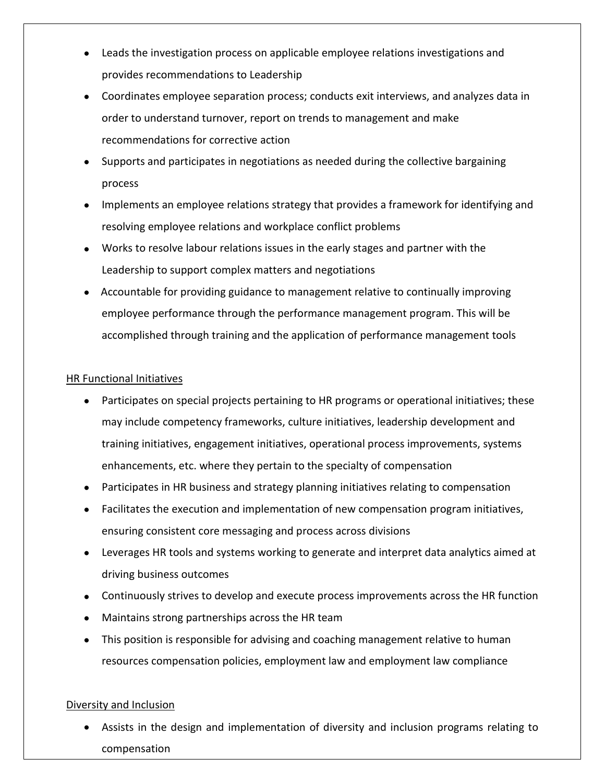- Leads the investigation process on applicable employee relations investigations and provides recommendations to Leadership
- Coordinates employee separation process; conducts exit interviews, and analyzes data in order to understand turnover, report on trends to management and make recommendations for corrective action
- Supports and participates in negotiations as needed during the collective bargaining process
- Implements an employee relations strategy that provides a framework for identifying and resolving employee relations and workplace conflict problems
- Works to resolve labour relations issues in the early stages and partner with the Leadership to support complex matters and negotiations
- Accountable for providing guidance to management relative to continually improving employee performance through the performance management program. This will be accomplished through training and the application of performance management tools

### HR Functional Initiatives

- Participates on special projects pertaining to HR programs or operational initiatives; these may include competency frameworks, culture initiatives, leadership development and training initiatives, engagement initiatives, operational process improvements, systems enhancements, etc. where they pertain to the specialty of compensation
- Participates in HR business and strategy planning initiatives relating to compensation
- Facilitates the execution and implementation of new compensation program initiatives, ensuring consistent core messaging and process across divisions
- Leverages HR tools and systems working to generate and interpret data analytics aimed at driving business outcomes
- Continuously strives to develop and execute process improvements across the HR function
- Maintains strong partnerships across the HR team
- This position is responsible for advising and coaching management relative to human resources compensation policies, employment law and employment law compliance

## Diversity and Inclusion

• Assists in the design and implementation of diversity and inclusion programs relating to compensation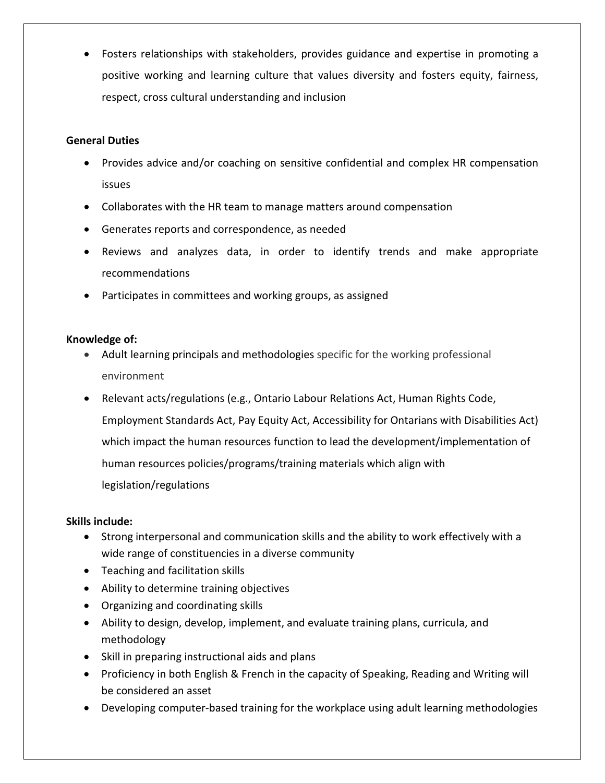• Fosters relationships with stakeholders, provides guidance and expertise in promoting a positive working and learning culture that values diversity and fosters equity, fairness, respect, cross cultural understanding and inclusion

### **General Duties**

- Provides advice and/or coaching on sensitive confidential and complex HR compensation issues
- Collaborates with the HR team to manage matters around compensation
- Generates reports and correspondence, as needed
- Reviews and analyzes data, in order to identify trends and make appropriate recommendations
- Participates in committees and working groups, as assigned

### **Knowledge of:**

- Adult learning principals and methodologies specific for the working professional environment
- Relevant acts/regulations (e.g., Ontario Labour Relations Act, Human Rights Code, Employment Standards Act, Pay Equity Act, Accessibility for Ontarians with Disabilities Act) which impact the human resources function to lead the development/implementation of human resources policies/programs/training materials which align with legislation/regulations

#### **Skills include:**

- Strong interpersonal and communication skills and the ability to work effectively with a wide range of constituencies in a diverse community
- Teaching and facilitation skills
- Ability to determine training objectives
- Organizing and coordinating skills
- Ability to design, develop, implement, and evaluate training plans, curricula, and methodology
- Skill in preparing instructional aids and plans
- Proficiency in both English & French in the capacity of Speaking, Reading and Writing will be considered an asset
- Developing computer-based training for the workplace using adult learning methodologies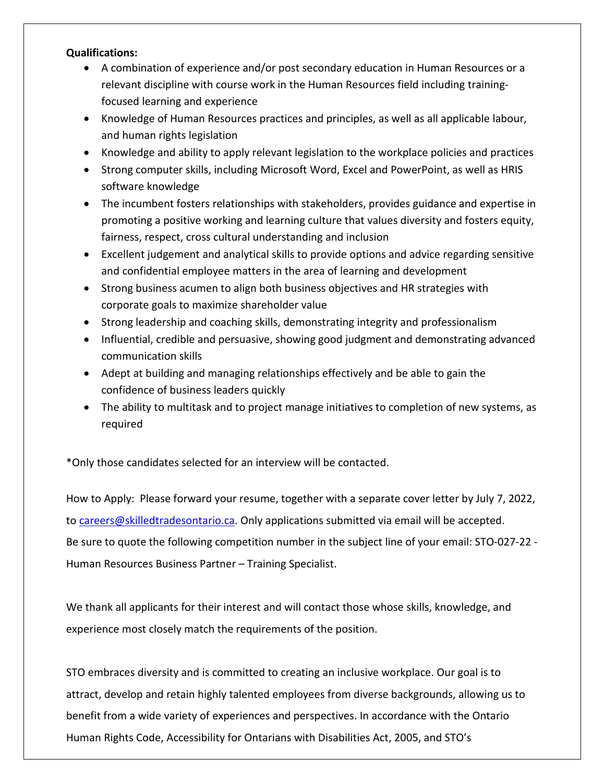#### **Qualifications:**

- A combination of experience and/or post secondary education in Human Resources or a relevant discipline with course work in the Human Resources field including trainingfocused learning and experience
- Knowledge of Human Resources practices and principles, as well as all applicable labour, and human rights legislation
- Knowledge and ability to apply relevant legislation to the workplace policies and practices
- Strong computer skills, including Microsoft Word, Excel and PowerPoint, as well as HRIS software knowledge
- The incumbent fosters relationships with stakeholders, provides guidance and expertise in promoting a positive working and learning culture that values diversity and fosters equity, fairness, respect, cross cultural understanding and inclusion
- Excellent judgement and analytical skills to provide options and advice regarding sensitive and confidential employee matters in the area of learning and development
- Strong business acumen to align both business objectives and HR strategies with corporate goals to maximize shareholder value
- Strong leadership and coaching skills, demonstrating integrity and professionalism
- Influential, credible and persuasive, showing good judgment and demonstrating advanced communication skills
- Adept at building and managing relationships effectively and be able to gain the confidence of business leaders quickly
- The ability to multitask and to project manage initiatives to completion of new systems, as required

\*Only those candidates selected for an interview will be contacted.

How to Apply: Please forward your resume, together with a separate cover letter by July 7, 2022, to [careers@skilledtradesontario.ca.](mailto:careers@skilledtradesontario.ca) Only applications submitted via email will be accepted. Be sure to quote the following competition number in the subject line of your email: STO-027-22 - Human Resources Business Partner – Training Specialist.

We thank all applicants for their interest and will contact those whose skills, knowledge, and experience most closely match the requirements of the position.

STO embraces diversity and is committed to creating an inclusive workplace. Our goal is to attract, develop and retain highly talented employees from diverse backgrounds, allowing us to benefit from a wide variety of experiences and perspectives. In accordance with the Ontario Human Rights Code, Accessibility for Ontarians with Disabilities Act, 2005, and STO's